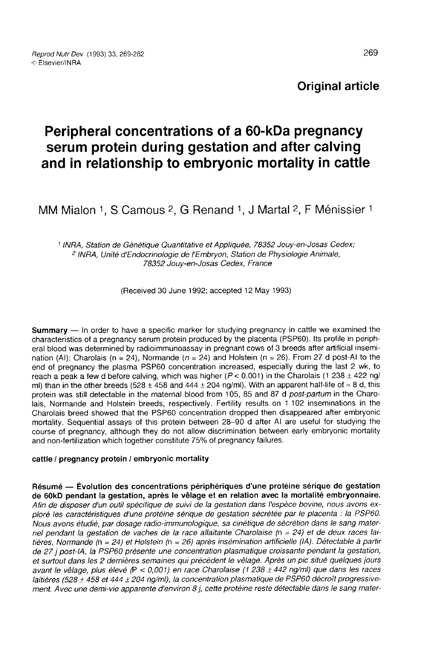# Original article

# Peripheral concentrations of a 60-kDa pregnancy serum protein during gestation and after calving and in relationship to embryonic mortality in cattle<br>MM Mialon 1, S Camous <sup>2</sup>, G Renand 1, J Martal <sup>2</sup>, F Ménissier

<sup>1</sup> INRA, Station de Génétique Quantitative et Appliquée, 78352 Jouy-en-Josas Cedex; <sup>2</sup> INRA, Unité d'Endocrinologie de l'Embryon, Station de Physiologie Animale, 78352 Jouy-en-Josas Cedex, France

(Received 30 June 1992; accepted 12 May 1993)

Summary — In order to have a specific marker for studying pregnancy in cattle we examined the characteristics of a pregnancy serum protein produced by the placenta (PSP60). Its profile in peripheral blood was determined by radioimmunoassay in pregnant cows of 3 breeds after artificial insemination (AI): Charolais (n = 24), Normande (n = 24) and Holstein (n = 26). From 27 d post-AI to the end of pregnancy the plasma PSP60 concentration increased, especially during the last 2 wk, to reach a peak a few d before calving, which was higher ( $P < 0.001$ ) in the Charolais (1 238  $\pm$  422 ng/ ml) than in the other breeds (528  $\pm$  458 and 444  $\pm$  204 ng/ml). With an apparent half-life of  $\approx$  8 d, this protein was still detectable in the maternal blood from 105, 85 and 87 d post-partum in the Charolais, Normande and Holstein breeds, respectively. Fertility results on 1 102 inseminations in the Charolais breed showed that the PSP60 concentration dropped then disappeared after embryonic mortality. Sequential assays of this protein between 28-90 d after Al are useful for studying the course of pregnancy, although they do not allow discrimination between early embryonic mortality and non-fertilization which together constitute 75% of pregnancy failures.

#### cattle / pregnancy protein / embryonic mortality

Résumé ― Évolution des concentrations périphériques d'une protéine sérique de gestation de 60kD pendant la gestation, après le vêlage et en relation avec la mortalité embryonnaire. Afin de disposer d'un outil spécifique de suivi de la gestation dans l'espèce bovine, nous avons exploré les caractéristiques d'une protéine sérique de gestation sécrétée par le placenta : la PSP60. Nous avons étudié, par dosage radio-immunologique, sa cinétique de sécrétion dans le sang maternel pendant la gestation de vaches de la race allaitante Charolaise (n = 24) et de deux races laitières, Normande (n = 24) et Holstein (n = 26) après insémination artificielle (IA). Détectable à partir de 27 j post-IA, la PSP60 présente une concentration plasmatique croissante pendant la gestation,<br>et surtout dans les 2 dernières semaines qui précèdent le vêlage. Après un pic situé quelques jours avant le vêlage, plus élevé  $(P < 0.001)$  en race Charolaise (1 238 ± 442 ng/ml) que dans les races laitières (528  $\pm$  458 et 444  $\pm$  204 ng/ml), la concentration plasmatique de PSP60 décroît progressivement. Avec une demi-vie apparente d'environ 8 j, cette protéine reste détectable dans le sang mater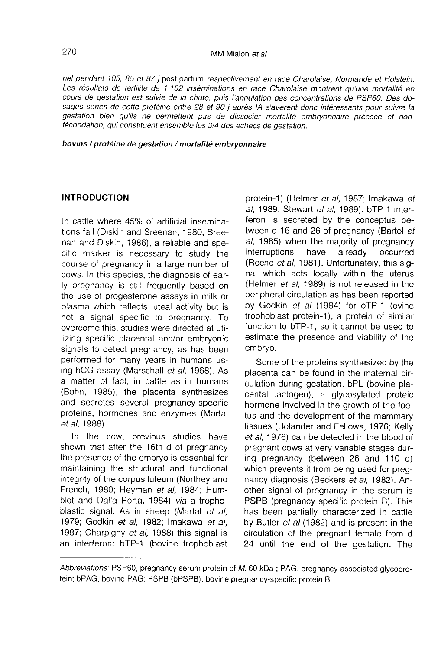nel pendant 105, 85 et 87 j post-partum respectivement en race Charolaise, Normande et Holstein. Les résultats de fertilité de 1 102 inséminations en race Charolaise montrent qu'une mortalité en cours de gestation est suivie de la chute, puis l'annulation des concentrations de PSP60. Des dosages sériés de cette protéine entre 28 et 90 j après IA s'avèrent donc intéressants pour suivre la gestation bien qu'ils ne permettent pas de dissocier mortalité embryonnaire précoce et nonfécondation, qui constituent ensemble les 3/4 des échecs de gestation.

#### bovins / protéine de gestation / mortalité embryonnaire

# INTRODUCTION

In cattle where 45% of artificial inseminations fail (Diskin and Sreenan, 1980; Sreenan and Diskin, 1986), a reliable and specific marker is necessary to study the course of pregnancy in a large number of cows. In this species, the diagnosis of early pregnancy is still frequently based on the use of progesterone assays in milk or plasma which reflects luteal activity but is not a signal specific to pregnancy. To overcome this, studies were directed at utilizing specific placental and/or embryonic signals to detect pregnancy, as has been performed for many years in humans using hCG assay (Marschall et al, 1968). As a matter of fact, in cattle as in humans (Bohn, 1985), the placenta synthesizes and secretes several pregnancy-specific proteins, hormones and enzymes (Martal et al, 1988).

In the cow, previous studies have shown that after the 16th d of pregnancy the presence of the embryo is essential for maintaining the structural and functional integrity of the corpus luteum (Northey and French, 1980; Heyman et al, 1984; Humblot and Dalla Porta, 1984) via a trophoblastic signal. As in sheep (Martal et al, 1979; Godkin et al. 1982; Imakawa et al. 1987; Charpigny et al. 1988) this signal is an interferon: bTP-1 (bovine trophoblast

protein-1) (Helmer et al, 1987; Imakawa et al, 1989; Stewart et al, 1989). bTP-1 interferon is secreted by the conceptus between d 16 and 26 of pregnancy (Bartol et al, 1985) when the majority of pregnancy<br>interruptions have already occurred interruptions (Roche et al, 1981). Unfortunately, this signal which acts locally within the uterus (Helmer et al, 1989) is not released in the peripheral circulation as has been reported by Godkin et al (1984) for oTP-1 (ovine trophoblast protein-1), a protein of similar function to bTP-1, so it cannot be used to estimate the presence and viability of the embryo.

Some of the proteins synthesized by the placenta can be found in the maternal circulation during gestation. bPL (bovine placental lactogen), a glycosylated proteic hormone involved in the growth of the foetus and the development of the mammary tissues (Bolander and Fellows, 1976; Kelly et al, 1976) can be detected in the blood of pregnant cows at very variable stages during pregnancy (between 26 and 110 d) which prevents it from being used for pregnancy diagnosis (Beckers et al, 1982). Another signal of pregnancy in the serum is PSPB (pregnancy specific protein B). This has been partially characterized in cattle by Butler et al (1982) and is present in the circulation of the pregnant female from d 24 until the end of the gestation. The

Abbreviations: PSP60, pregnancy serum protein of M, 60 kDa; PAG, pregnancy-associated glycoprotein; bPAG, bovine PAG; PSPB (bPSPB), bovine pregnancy-specific protein B.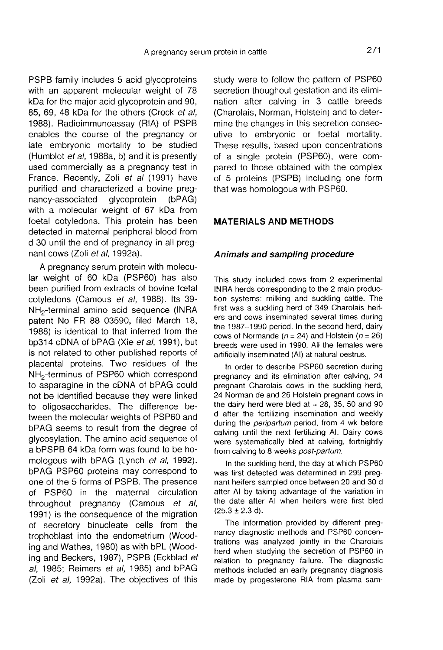PSPB family includes 5 acid glycoproteins with an apparent molecular weight of 78 kDa for the major acid glycoprotein and 90, 85, 69, 48 kDa for the others (Crock et al, 1988). Radioimmunoassay (RIA) of PSPB enables the course of the pregnancy or late embryonic mortality to be studied (Humblot et al, 1988a, b) and it is presently used commercially as a pregnancy test in France. Recently, Zoli et al (1991) have purified and characterized a bovine preg-<br>nancy-associated glycoprotein (bPAG) nancy-associated glycoprotein (bPAG) with a molecular weight of 67 kDa from foetal cotyledons. This protein has been detected in maternal peripheral blood from d 30 until the end of pregnancy in all pregnant cows (Zoli et al, 1992a).

A pregnancy serum protein with molecular weight of 60 kDa (PSP60) has also been purified from extracts of bovine foetal cotyledons (Camous et al, 1988). Its 39-<br>NH<sub>2</sub>-terminal amino acid sequence (INRA nant cows (Zoli *et al.*, 1992a).<br>
A pregnancy serum protein with molecular weight of 60 kDa (PSP60) has also<br>
been purified from extracts of bovine fœtal<br>
cotyledons (Camous *et al.*, 1988). Its 39-<br>
NH<sub>2</sub>-terminal amino patent No FR 88 03590, filed March 18, 1988) is identical to that inferred from the bp314 cDNA of bPAG (Xie et al, 1991), but is not related to other published reports of placental proteins. Two residues of the<br>NH<sub>2</sub>-terminus of PSP60 which correspond NH<sub>2</sub>-terminal amino acid sequence (INHA<br>patent No FR 88 03590, filed March 18,<br>1988) is identical to that inferred from the<br>bp314 cDNA of bPAG (Xie *et al*, 1991), but<br>is not related to other published reports of<br>placenta to asparagine in the cDNA of bPAG could not be identified because they were linked to oligosaccharides. The difference between the molecular weights of PSP60 and bPAG seems to result from the degree of glycosylation. The amino acid sequence of a bPSPB 64 kDa form was found to be homologous with bPAG (Lynch et al, 1992). bPAG PSP60 proteins may correspond to one of the 5 forms of PSPB. The presence of PSP60 in the maternal circulation throughout pregnancy (Camous et al, 1991) is the consequence of the migration of secretory binucleate cells from the trophoblast into the endometrium (Wooding and Wathes, 1980) as with bPL (Wooding and Beckers, 1987), PSPB (Eckblad et al, 1985; Reimers et al, 1985) and bPAG (Zoli et al, 1992a). The objectives of this

study were to follow the pattern of PSP60 secretion thoughout gestation and its elimination after calving in 3 cattle breeds (Charolais, Norman, Holstein) and to determine the changes in this secretion consecutive to embryonic or foetal mortality. These results, based upon concentrations of a single protein (PSP60), were compared to those obtained with the complex of 5 proteins (PSPB) including one form that was homologous with PSP60.

#### MATERIALS AND METHODS

#### Animals and sampling procedure

This study included cows from 2 experimental INRA herds corresponding to the 2 main production systems: milking and suckling cattle. The first was a suckling herd of 349 Charolais heifers and cows inseminated several times during the 1987-1990 period. In the second herd, dairy cows of Normande ( $n = 24$ ) and Holstein ( $n = 26$ ) breeds were used in 1990. All the females were artificially inseminated (Al) at natural oestrus.

In order to describe PSP60 secretion during pregnancy and its elimination after calving, 24 pregnant Charolais cows in the suckling herd, pregnant Charolais cows in the sucking herd,<br>24 Norman de and 26 Holstein pregnant cows in<br>the dairy herd were bled at  $\approx 28,35,50$  and 900<br>definition incomposition d after the fertilizing insemination and weekly during the *peripartum* period, from 4 wk before calving until the next fertilizing Al. Dairy cows were systematically bled at calving, fortnightly from calving to 8 weeks post-partum.

In the suckling herd, the day at which PSP60 was first detected was determined in 299 pregnant heifers sampled once between 20 and 30 d after Al by taking advantage of the variation in the date after Al when heifers were first bled  $(25.3 \pm 2.3 \text{ d}).$ 

The information provided by different pregnancy diagnostic methods and PSP60 concentrations was analyzed jointly in the Charolais herd when studying the secretion of PSP60 in relation to pregnancy failure. The diagnostic methods included an early pregnancy diagnosis made by progesterone RIA from plasma sam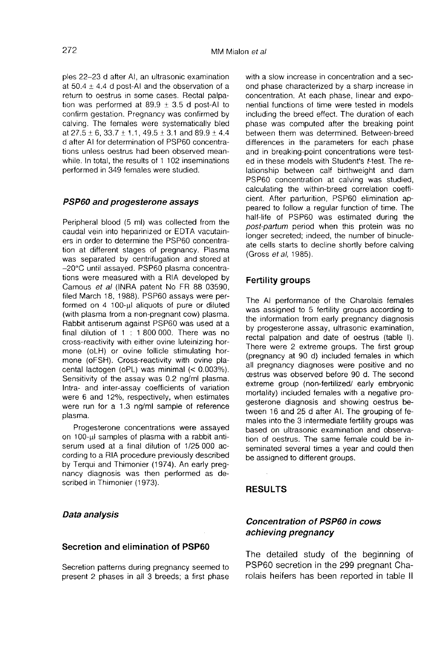ples 22-23 d after Al, an ultrasonic examination at 50.4  $\pm$  4.4 d post-Al and the observation of a return to oestrus in some cases. Rectal palpation was performed at 89.9  $\pm$  3.5 d post-Al to confirm gestation. Pregnancy was confirmed by calving. The females were systematically bled at  $27.5 \pm 6$ ,  $33.7 \pm 1.1$ ,  $49.5 \pm 3.1$  and  $89.9 \pm 4.4$ d after Al for determination of PSP60 concentrations unless oestrus had been observed meanwhile. In total, the results of 1 102 inseminations performed in 349 females were studied.

#### PSP60 and progesterone assays

Peripheral blood (5 ml) was collected from the caudal vein into heparinized or EDTA vacutainers in order to determine the PSP60 concentration at different stages of pregnancy. Plasma was separated by centrifugation and stored at -20°C until assayed. PSP60 plasma concentrations were measured with a RIA developed by Camous et al (INRA patent No FR 88 03590, filed March 18, 1988). PSP60 assays were per-Camous *et al* (INRA patent No FR 88 03590, filed March 18, 1988). PSP60 assays were performed on 4 100- $\mu$ l aliquots of pure or diluted (with plasma from a non-pregnant cow) plasma (with plasma from a non-pregnant cow) plasma. Rabbit antiserum against PSP60 was used at a final dilution of 1 : 1 800 000. There was no cross-reactivity with either ovine luteinizing hormone (oLH) or ovine follicle stimulating hormone (oFSH). Cross-reactivity with ovine placental lactogen (oPL) was minimal (< 0.003%). Sensitivity of the assay was 0.2 ng/ml plasma. Intra- and inter-assay coefficients of variation were 6 and 12%, respectively, when estimates were run for a 1.3 ng/ml sample of reference plasma.

Progesterone concentrations were assayed on 100-wl samples of plasma with a rabbit antiserum used at a final dilution of 1/25 000 according to a RIA procedure previously described by Terqui and Thimonier (1974). An early pregnancy diagnosis was then performed as described in Thimonier (1973).

Data analysis

#### Secretion and elimination of PSP60

Secretion patterns during pregnancy seemed to present 2 phases in all 3 breeds; a first phase with a slow increase in concentration and a second phase characterized by a sharp increase in concentration. At each phase, linear and exponential functions of time were tested in models including the breed effect. The duration of each phase was computed after the breaking point between them was determined. Between-breed differences in the parameters for each phase and in breaking-point concentrations were tested in these models with Student's t-test. The relationship between calf birthweight and dam PSP60 concentration at calving was studied, calculating the within-breed correlation coefficient. After parturition, PSP60 elimination appeared to follow a regular function of time. The half-life of PSP60 was estimated during the post-partum period when this protein was no longer secreted; indeed, the number of binucleate cells starts to decline shortly before calving (Gross et al, 1985).

#### Fertility groups

The Al performance of the Charolais females was assigned to 5 fertility groups according to the information from early pregnancy diagnosis by progesterone assay, ultrasonic examination, rectal palpation and date of oestrus (table I). There were 2 extreme groups. The first group (pregnancy at 90 d) included females in which all pregnancy diagnoses were positive and no oestrus was observed before 90 d. The second extreme group (non-fertilized/ early embryonic mortality) included females with a negative progesterone diagnosis and showing oestrus between 16 and 25 d after Al. The grouping of females into the 3 intermediate fertility groups was based on ultrasonic examination and observation of oestrus. The same female could be inseminated several times a year and could then be assigned to different groups.

# **RESULTS**

# Concentration of PSP60 in cows achieving pregnancy

The detailed study of the beginning of PSP60 secretion in the 299 pregnant Charolais heifers has been reported in table 11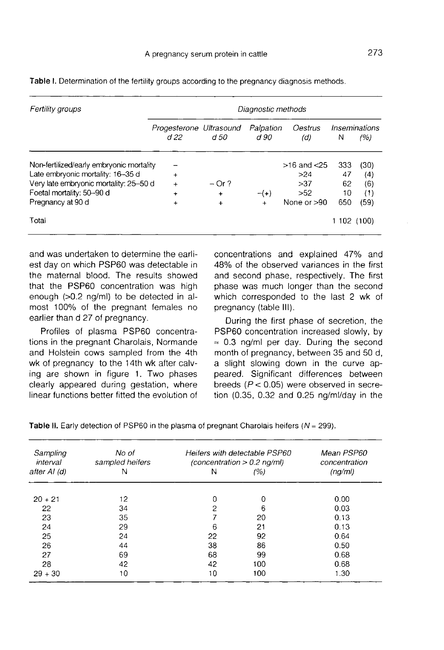| Fertility groups                         |                                |             | Diagnostic methods |                 |             |                      |
|------------------------------------------|--------------------------------|-------------|--------------------|-----------------|-------------|----------------------|
|                                          | Progesterone Ultrasound<br>d22 | d 50        | Palpation<br>d 90  | Oestrus<br>(d)  | Ν           | Inseminations<br>(%) |
| Non-fertilized/early embryonic mortality |                                |             |                    | $>16$ and $<25$ | 333         | (30)                 |
| Late embryonic mortality: 16-35 d        | $\ddot{}$                      |             |                    | >24             | 47          | (4)                  |
| Very late embryonic mortality: 25-50 d   | $\div$                         | $-$ Or ?    |                    | >37             | 62          | (6)                  |
| Foetal mortality: 50-90 d                | $\ddot{}$                      | $\ddotmark$ | $-(+)$             | >52             | 10          | (1)                  |
| Pregnancy at 90 d                        | $\ddot{}$                      | $+$         | $\ddotmark$        | None or $>90$   | 650         | (59)                 |
| Total                                    |                                |             |                    |                 | 1 102 (100) |                      |

Table I. Determination of the fertility groups according to the pregnancy diagnosis methods.

and was undertaken to determine the earliest day on which PSP60 was detectable in the maternal blood. The results showed that the PSP60 concentration was high enough (>0.2 ng/ml) to be detected in almost 100% of the pregnant females no earlier than d 27 of pregnancy.

Profiles of plasma PSP60 concentrations in the pregnant Charolais, Normande and Holstein cows sampled from the 4th wk of pregnancy to the 14th wk after calving are shown in figure 1. Two phases clearly appeared during gestation, where linear functions better fitted the evolution of concentrations and explained 47% and 48% of the observed variances in the first and second phase, respectively. The first phase was much longer than the second which corresponded to the last 2 wk of pregnancy (table III).

During the first phase of secretion, the PSP60 concentration increased slowly, by  $\approx$  0.3 ng/ml per day. During the second month of pregnancy, between 35 and 50 d, a slight slowing down in the curve appeared. Significant differences between breeds ( $P < 0.05$ ) were observed in secretion (0.35, 0.32 and 0.25 ng/ml/day in the

Table II. Early detection of PSP60 in the plasma of pregnant Charolais heifers ( $N = 299$ ).

| Sampling<br>interval | No of<br>sampled heifers |    | Heifers with detectable PSP60<br>$\langle concentration > 0.2 \text{ na/ml}\rangle$ | Mean PSP60<br>concentration |
|----------------------|--------------------------|----|-------------------------------------------------------------------------------------|-----------------------------|
| after Al (d)         | N                        | Ν  | (%)                                                                                 | (nq/ml)                     |
| $20 + 21$            | 12                       | 0  | 0                                                                                   | 0.00                        |
| 22                   | 34                       | 2  | 6                                                                                   | 0.03                        |
| 23                   | 35                       |    | 20                                                                                  | 0.13                        |
| 24                   | 29                       | 6  | 21                                                                                  | 0.13                        |
| 25                   | 24                       | 22 | 92                                                                                  | 0.64                        |
| 26                   | 44                       | 38 | 86                                                                                  | 0.50                        |
| 27                   | 69                       | 68 | 99                                                                                  | 0.68                        |
| 28                   | 42                       | 42 | 100                                                                                 | 0.68                        |
| $29 + 30$            | 10                       | 10 | 100                                                                                 | 1.30                        |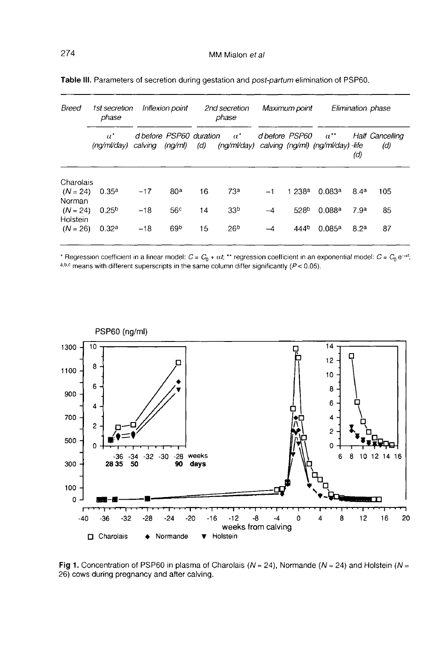| Breed                            | 1st secretion<br>phase                 |                                    | Inflexion point |     | 2nd secretion<br>phase                                            |                | Maximum point     |               |                  | Elimination phase      |
|----------------------------------|----------------------------------------|------------------------------------|-----------------|-----|-------------------------------------------------------------------|----------------|-------------------|---------------|------------------|------------------------|
|                                  | $\alpha^{\ast}$<br>$(n\alpha/m\gamma)$ | d before PSP60 duration<br>calving | (nq/ml)         | (d) | $\alpha^*$<br>$(nq/ml/day)$ calving $(nq/ml)$ $(nq/ml/day)$ -life | d before PSP60 |                   | $\alpha^{**}$ | (d)              | Half Cancelling<br>(d) |
| Charolais                        |                                        |                                    |                 |     |                                                                   |                |                   |               |                  |                        |
| $(N = 24)$                       | 0.35 <sup>a</sup>                      | $-17$                              | 80 <sup>a</sup> | 16  | 73 <sup>a</sup>                                                   | $-1$           | 1238 <sup>a</sup> | 0.083a        | 84a              | 105                    |
| Norman<br>$(N = 24)$<br>Holstein | 0.25 <sup>b</sup>                      | $-18$                              | 56 <sup>c</sup> | 14  | 33 <sup>b</sup>                                                   | -4             | 528 <sup>b</sup>  | 0.088a        | 7.9 <sup>a</sup> | 85                     |
| $(N = 26)$                       | 0.32 <sup>a</sup>                      | $-18$                              | 69 <sup>b</sup> | 15  | 26 <sup>b</sup>                                                   | -4             | 444 <sup>b</sup>  | 0.085a        | 8.2 <sup>a</sup> | 87                     |

Table III. Parameters of secretion during gestation and post-partum elimination of PSP60.

\* Regression coefficient in a linear model:  $C = C_0 + \alpha t$ , \*\* regression coefficient in an exponential model:  $C = C_0 e^{-\alpha t}$ , a,b,c means with different superscripts in the same column differ significantly ( $P < 0.05$ ).



Fig 1. Concentration of PSP60 in plasma of Charolais ( $N = 24$ ), Normande ( $N = 24$ ) and Holstein ( $N =$ 26) cows during pregnancy and after calving.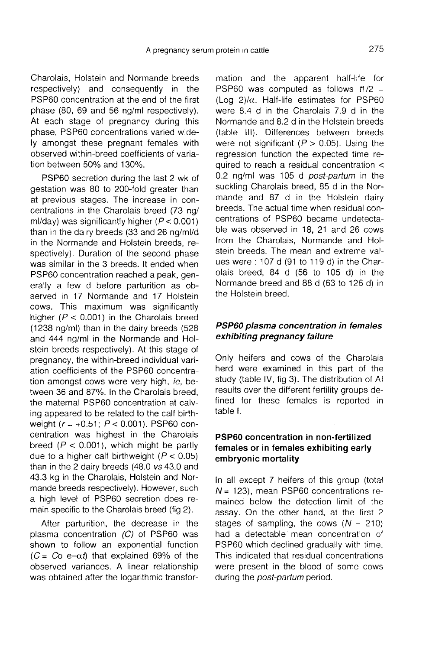Charolais, Holstein and Normande breeds respectively) and consequently in the PSP60 concentration at the end of the first phase (80, 69 and 56 ng/ml respectively). At each stage of pregnancy during this phase, PSP60 concentrations varied widely amongst these pregnant females with observed within-breed coefficients of variation between 50% and 130%.

PSP60 secretion during the last 2 wk of gestation was 80 to 200-fold greater than at previous stages. The increase in concentrations in the Charolais breed (73 ng/ ml/day) was significantly higher  $(P < 0.001)$ than in the dairy breeds (33 and 26 ng/ml/d in the Normande and Holstein breeds, respectively). Duration of the second phase was similar in the 3 breeds. It ended when PSP60 concentration reached a peak, generally a few d before parturition as observed in 17 Normande and 17 Holstein cows. This maximum was significantly higher ( $P < 0.001$ ) in the Charolais breed (1238 ng/ml) than in the dairy breeds (528 and 444 ng/ml in the Normande and Holstein breeds respectively). At this stage of pregnancy, the within-breed individual variation coefficients of the PSP60 concentration amongst cows were very high, ie, between 36 and 87%. In the Charolais breed, the maternal PSP60 concentration at calving appeared to be related to the calf birth-<br>weight  $(r = +0.51; P < 0.001)$ . PSP60 contween 36 and 87%. In the Charolais breed,<br>the maternal PSP60 concentration at calv-<br>ing appeared to be related to the calf birth-<br>weight  $(r = +0.51; P < 0.001)$ . PSP60 con-<br>centration was highest in the Charolais centration was highest in the Charolais breed ( $P < 0.001$ ), which might be partly due to a higher calf birthweight  $(P < 0.05)$ than in the 2 dairy breeds (48.0 vs 43.0 and 43.3 kg in the Charolais, Holstein and Normande breeds respectively). However, such a high level of PSP60 secretion does remain specific to the Charolais breed (fig 2).

After parturition, the decrease in the plasma concentration  $(C)$  of PSP60 was shown to follow an exponential function  $(C = Co e<sub>-</sub>αt)$  that explained 69% of the observed variances. A linear relationship was obtained after the logarithmic transfor-

mation and the apparent half-life for PSP60 was computed as follows  $t1/2$  = (Log  $2)/\alpha$ . Half-life estimates for PSP60 were 8.4 d in the Charolais 7.9 d in the Normande and 8.2 d in the Holstein breeds (table III). Differences between breeds were not significant ( $P > 0.05$ ). Using the regression function the expected time required to reach a residual concentration < 0.2 ng/ml was 105 d post-partum in the suckling Charolais breed, 85 d in the Normande and 87 d in the Holstein dairy breeds. The actual time when residual concentrations of PSP60 became undetectable was observed in 18, 21 and 26 cows from the Charolais, Normande and Holstein breeds. The mean and extreme values were : 107 d (91 to 119 d) in the Charolais breed, 84 d (56 to 105 d) in the Normande breed and 88 d (63 to 126 d) in the Holstein breed.

# PSP60 plasma concentration in females exhibiting pregnancy failure

Only heifers and cows of the Charolais herd were examined in this part of the study (table IV, fig 3). The distribution of Al results over the different fertility groups defined for these females is reported in table I.

# PSP60 concentration in non-fertilized females or in females exhibiting early embryonic mortality

In all except 7 heifers of this group (total  $N = 123$ ), mean PSP60 concentrations remained below the detection limit of the assay. On the other hand, at the first 2 stages of sampling, the cows  $(N = 210)$ had a detectable mean concentration of PSP60 which declined gradually with time. This indicated that residual concentrations were present in the blood of some cows during the *post-partum* period.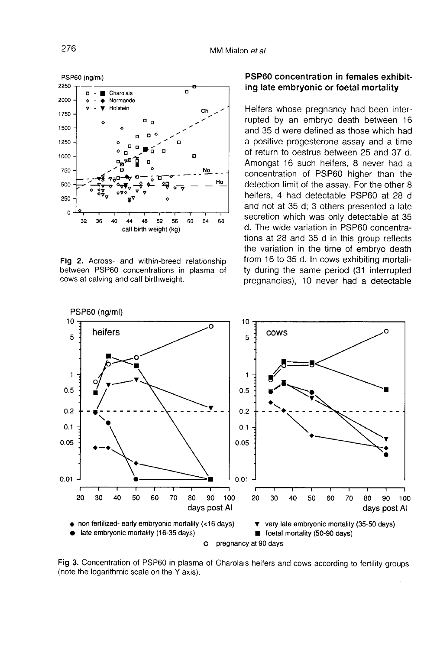

Fig 2. Across- and within-breed relationship between PSP60 concentrations in plasma of cows at calving and calf birthweight.

# PSP60 concentration in females exhibiting late embryonic or foetal mortality

Heifers whose pregnancy had been interrupted by an embryo death between 16 and 35 d were defined as those which had a positive progesterone assay and a time of return to oestrus between 25 and 37 d. Amongst 16 such heifers, 8 never had a concentration of PSP60 higher than the detection limit of the assay. For the other 8 heifers, 4 had detectable PSP60 at 28 d and not at 35 d; 3 others presented a late secretion which was only detectable at 35 d. The wide variation in PSP60 concentrations at 28 and 35 d in this group reflects the variation in the time of embryo death from 16 to 35 d. In cows exhibiting mortality during the same period (31 interrupted pregnancies), 10 never had a detectable



Fig 3. Concentration of PSP60 in plasma of Charolais heifers and cows according to fertility groups (note the logarithmic scale on the Y axis).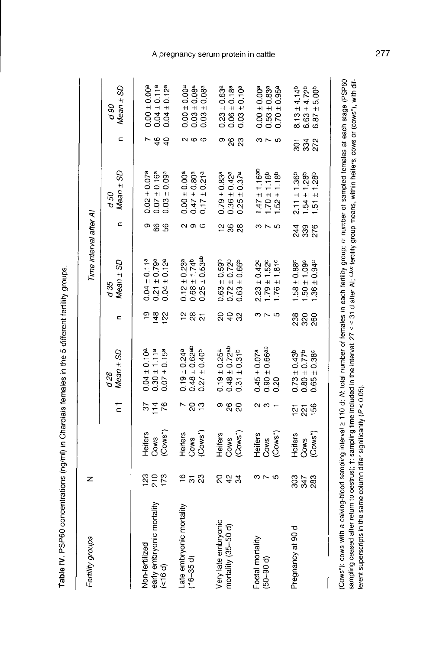| $\ddot{\phantom{a}}$                                                                                                                                                                                                  |
|-----------------------------------------------------------------------------------------------------------------------------------------------------------------------------------------------------------------------|
|                                                                                                                                                                                                                       |
|                                                                                                                                                                                                                       |
|                                                                                                                                                                                                                       |
| :<br>:<br>:                                                                                                                                                                                                           |
|                                                                                                                                                                                                                       |
|                                                                                                                                                                                                                       |
|                                                                                                                                                                                                                       |
| $\frac{3}{2}$<br>$\overline{a}$<br>$\frac{1}{2}$                                                                                                                                                                      |
| ֪֖֧֪֪֪֪֪֪֪֪֪֦֖֧֧֧֧֧֧֧֧֞֝֝֝֝֝֝֬֝֟֓֝֬֝֝֝֬֝֟֓֝֬֝֓֝֬֝֬֝֬֝֬֝֬֝<br>֧֧֧֧֧֧֧֧֧֧֧֧֧֧֧֝֩֩֩֩֩֓֓֬֓֓֬֓֝֬֓֝<br>֧֪֧֧֖֧֧֧֧֖֖֧֧֚֚֝֬֩֩֩֬֓֬֩֟֬֟֬֬<br>֧֖֧֧֧֧֪֪֪֧֦֧֧֦֧֧֪֪֪֪֧֧֪֪֧֪֪֧֪֪֪֧֧֧֪֪֪֪֪֪֪֪֪֧֚֚֚֚֚֚֚֚֚֚֚֚֚֚֚֚֚֚֚֬֝֝֟֩֝֟֩֝֟֝֝֝֜֝֜֝֝֝֝ |

| Fertility groups                                       | z         |                            |                      |                                                                                    |            | Time interval after Al                                                       |            |                                                                        |                      |                                                                                              |
|--------------------------------------------------------|-----------|----------------------------|----------------------|------------------------------------------------------------------------------------|------------|------------------------------------------------------------------------------|------------|------------------------------------------------------------------------|----------------------|----------------------------------------------------------------------------------------------|
|                                                        |           |                            | $\frac{1}{2}$        | $Mean \pm SD$<br>d28                                                               | c          | $Mean \pm SD$<br>d 35                                                        | c          | Mean $±$ SD<br>d 50                                                    | $\subset$            | $Mean \pm SD$<br>06p                                                                         |
| early embryonic mortality<br>(<16 d)<br>Non-fertilized | 225<br>25 | (Cows*)<br>Heifers<br>Cows | $14^{76}$<br>55      | $0.04 \pm 0.10$ <sup>a</sup><br>$0.30 \pm 1.11^a$<br>$0.07 \pm 0.15^a$             | 148<br>122 | $0.04 \pm 0.11^a$<br>$0.21 \pm 0.79^a$<br>$0.04 \pm 0.12^a$                  | ం జ జ      | $0.02 \pm 0.07^a$<br>$0.07 \pm 0.16^a$<br>$0.03 \pm 0.09$ <sup>a</sup> | 46<br>$\overline{a}$ | $0.00 \pm 0.00^a$<br>$0.04 \pm 0.11^a$<br>$0.04 \pm 0.12$ <sup>a</sup>                       |
| ate embryonic mortality<br>$(16-35d)$                  | 258       | (Cows*)<br>Heifers<br>Cows | $-89$                | $0.48 \pm 0.62$ <sup>ab</sup><br>$0.19 \pm 0.24$ a<br>$0.27 \pm 0.40$ <sup>b</sup> | 287        | $0.25 \pm 0.53$ <sup>ab</sup><br>$0.68 \pm 1.74^{b}$<br>$0.12 \pm 0.23$ a    | လ ဇာ ဖ     | $0.17 \pm 0.21a$<br>$0.47 \pm 0.80$ a<br>$0.00 \pm 0.00$ a             | <u>လ ဖ ဖ</u>         | $0.00 \pm 0.00$ <sup>a</sup><br>$0.03 \pm 0.08$ a<br>$0.03 \pm 0.08$ a                       |
| Very late embryonic<br>mortality (35-50 d)             | ನ ಕಿ ಇ    | (Cows*)<br>Heiters<br>Cows | ి <sub>సి ని</sub>   | $0.48 \pm 0.72$ ab<br>$0.19 \pm 0.25^a$<br>$0.31 \pm 0.31^{b}$                     | នទន        | $0.63 \pm 0.59$<br>$0.72 \pm 0.72$<br>$0.63 \pm 0.66$ <sup>b</sup>           | 288        | $0.36 \pm 0.42^a$<br>$0.25 \pm 0.37$ a<br>$0.79 \pm 0.83$ <sup>a</sup> | Φ<br><b>823</b>      | $0.23 \pm 0.63$ <sup>a</sup><br>$0.06 \pm 0.18$ <sup>a</sup><br>$0.03 \pm 0.10^a$            |
| Foetal mortality<br>$(50 - 90 d)$                      | 37<br>3   | (Cows*)<br>Heiters<br>Cows | ດ ຕ                  | $0.45 \pm 0.07$ a<br>$0.90 \pm 0.66$ ab<br>$0.20$                                  | m ~ 10     | $2.23 \pm 0.42^{\circ}$<br>$1.79 \pm 1.52^c$<br>$1.76 \pm 1.81$ <sup>c</sup> | ってら        | 1.47 $\pm$ 1.16ab<br>$1.70 \pm 1.18^b$<br>$1.52 \pm 1.18^b$            | の75                  | $0.00 \pm 0.00$ <sup>a</sup><br>$0.53 \pm 0.83$ <sup>a</sup><br>$0.70 \pm 0.95$ <sup>a</sup> |
| Pregnancy at 90 d                                      | ន្លង្កន្ល | (Cows*)<br>Heifers<br>Cows | <u>ភ</u> ្នុ ភ្លូ ងូ | $0.73 \pm 0.43$ <sup>b</sup><br>$0.80 \pm 0.77$ <sup>b</sup><br>$0.65 \pm 0.38$    | ೫ ೪ ೪<br>೮ | $50 \pm 1.09$<br>$36 \pm 0.94^{\circ}$<br>$.58 \pm 0.88$                     | 236<br>236 | $2.11 \pm 1.36$<br>$1.54 \pm 1.28$<br>$1.51 \pm 1.28$                  | ទី ទី 2<br>ខ         | $8.13 \pm 4.14^{b}$<br>$6.63 \pm 4.72^b$<br>$6.87 \pm 5.00^b$                                |
|                                                        |           |                            |                      |                                                                                    |            |                                                                              |            |                                                                        |                      |                                                                                              |

(Cows'): cows with a calving-blood sampling interval 2 110 d; M: total number of females in each fertility group; n: number of sampled females at each stage (PSP60 sampling ceased after return to oestrus); +: sampling time included in the interval: 27 ≤ ≤ 31 d after Al; abs fertility group means, within hellers, cows or (cows\*), with different superscripts in the same column differ significantly (P < 0.05).

#### A pregnancy serum protein in cattle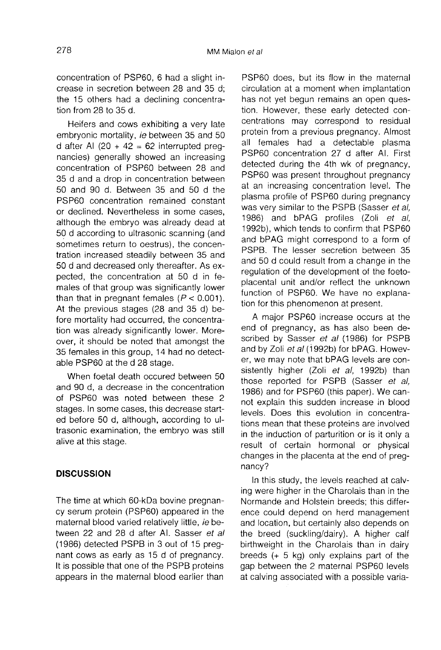concentration of PSP60, 6 had a slight increase in secretion between 28 and 35 d; the 15 others had a declining concentration from 28 to 35 d.

Heifers and cows exhibiting a very late embryonic mortality, ie between 35 and 50 d after Al  $(20 + 42 = 62$  interrupted preqnancies) generally showed an increasing concentration of PSP60 between 28 and 35 d and a drop in concentration between 50 and 90 d. Between 35 and 50 d the PSP60 concentration remained constant or declined. Nevertheless in some cases, although the embryo was already dead at 50 d according to ultrasonic scanning (and sometimes return to oestrus), the concentration increased steadily between 35 and 50 d and decreased only thereafter. As expected, the concentration at 50 d in females of that group was significantly lower than that in pregnant females ( $P < 0.001$ ). At the previous stages (28 and 35 d) before mortality had occurred, the concentration was already significantly lower. Moreover, it should be noted that amongst the 35 females in this group, 14 had no detectable PSP60 at the d 28 stage.

When foetal death occured between 50 and 90 d, a decrease in the concentration of PSP60 was noted between these 2 stages. In some cases, this decrease started before 50 d, although, according to ultrasonic examination, the embryo was still alive at this stage.

# **DISCUSSION**

The time at which 60-kDa bovine pregnancy serum protein (PSP60) appeared in the maternal blood varied relatively little, ie between 22 and 28 d after Al. Sasser et al (1986) detected PSPB in 3 out of 15 pregnant cows as early as 15 d of pregnancy. It is possible that one of the PSPB proteins appears in the maternal blood earlier than

PSP60 does, but its flow in the maternal circulation at a moment when implantation has not yet begun remains an open question. However, these early detected concentrations may correspond to residual protein from a previous pregnancy. Almost all females had a detectable plasma PSP60 concentration 27 d after Al. First detected during the 4th wk of pregnancy, PSP60 was present throughout pregnancy at an increasing concentration level. The plasma profile of PSP60 during pregnancy was very similar to the PSPB (Sasser et al. 1986) and bPAG profiles (Zoli et al, 1992b), which tends to confirm that PSP60 and bPAG might correspond to a form of PSPB. The lesser secretion between 35 and 50 d could result from a change in the regulation of the development of the foetoplacental unit and/or reflect the unknown function of PSP60. We have no explanation for this phenomenon at present.

A major PSP60 increase occurs at the end of pregnancy, as has also been described by Sasser et al (1986) for PSPB and by Zoli et al (1992b) for bPAG. However, we may note that bPAG levels are consistently higher (Zoli et al, 1992b) than those reported for PSPB (Sasser et al, 1986) and for PSP60 (this paper). We cannot explain this sudden increase in blood levels. Does this evolution in concentrations mean that these proteins are involved in the induction of parturition or is it only a result of certain hormonal or physical changes in the placenta at the end of pregnancy?

In this study, the levels reached at calving were higher in the Charolais than in the Normande and Holstein breeds; this difference could depend on herd management and location, but certainly also depends on the breed (suckling/dairy). A higher calf birthweight in the Charolais than in dairy breeds (+ 5 kg) only explains part of the gap between the 2 maternal PSP60 levels at calving associated with a possible varia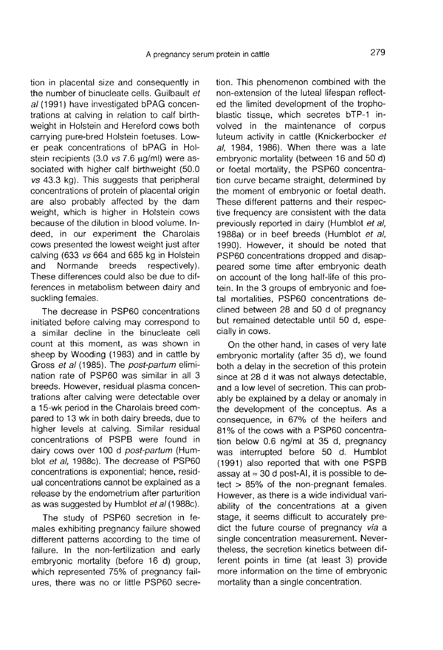tion in placental size and consequently in the number of binucleate cells. Guilbault et al (1991) have investigated bPAG concentrations at calving in relation to calf birthweight in Holstein and Hereford cows both carrying pure-bred Holstein foetuses. Lower peak concentrations of bPAG in Holstein recipients  $(3.0 \text{ vs } 7.6 \text{ µq/ml})$  were associated with higher calf birthweight (50.0  $vs$  43.3 kg). This suggests that peripheral concentrations of protein of placental origin are also probably affected by the dam weight, which is higher in Holstein cows because of the dilution in blood volume. Indeed, in our experiment the Charolais cows presented the lowest weight just after calving (633 vs 664 and 685 kg in Holstein<br>and Normande breeds respectively). respectively). These differences could also be due to differences in metabolism between dairy and suckling females.

The decrease in PSP60 concentrations initiated before calving may correspond to a similar decline in the binucleate cell count at this moment, as was shown in sheep by Wooding (1983) and in cattle by Gross et al (1985). The post-partum elimination rate of PSP60 was similar in all 3 breeds. However, residual plasma concentrations after calving were detectable over a 15-wk period in the Charolais breed compared to 13 wk in both dairy breeds, due to higher levels at calving. Similar residual concentrations of PSPB were found in dairy cows over 100 d post-partum (Humblot et al, 1988c). The decrease of PSP60 concentrations is exponential; hence, residual concentrations cannot be explained as a release by the endometrium after parturition as was suggested by Humblot et al (1988c).

The study of PSP60 secretion in females exhibiting pregnancy failure showed different patterns according to the time of failure. In the non-fertilization and early embryonic mortality (before 16 d) group, which represented 75% of pregnancy failures, there was no or little PSP60 secretion. This phenomenon combined with the non-extension of the luteal lifespan reflected the limited development of the trophoblastic tissue, which secretes bTP-1 involved in the maintenance of corpus luteum activity in cattle (Knickerbocker et al, 1984, 1986). When there was a late embryonic mortality (between 16 and 50 d) or foetal mortality, the PSP60 concentration curve became straight, determined by the moment of embryonic or foetal death. These different patterns and their respective frequency are consistent with the data previously reported in dairy (Humblot et al, 1988a) or in beef breeds (Humblot et al. 1990). However, it should be noted that PSP60 concentrations dropped and disappeared some time after embryonic death on account of the long half-life of this protein. In the 3 groups of embryonic and foetal mortalities, PSP60 concentrations declined between 28 and 50 d of pregnancy but remained detectable until 50 d, especially in cows.

On the other hand, in cases of very late embryonic mortality (after 35 d), we found both a delay in the secretion of this protein since at 28 d it was not always detectable, and a low level of secretion. This can probably be explained by a delay or anomaly in the development of the conceptus. As a consequence, in 67% of the heifers and 81% of the cows with a PSP60 concentration below 0.6 ng/ml at 35 d, pregnancy was interrupted before 50 d. Humblot (1991) also reported that with one PSPB assay at  $\approx$  30 d post-AI, it is possible to detect > 85% of the non-pregnant females. However, as there is a wide individual variability of the concentrations at a given stage, it seems difficult to accurately predict the future course of pregnancy via a single concentration measurement. Nevertheless, the secretion kinetics between different points in time (at least 3) provide more information on the time of embryonic mortality than a single concentration.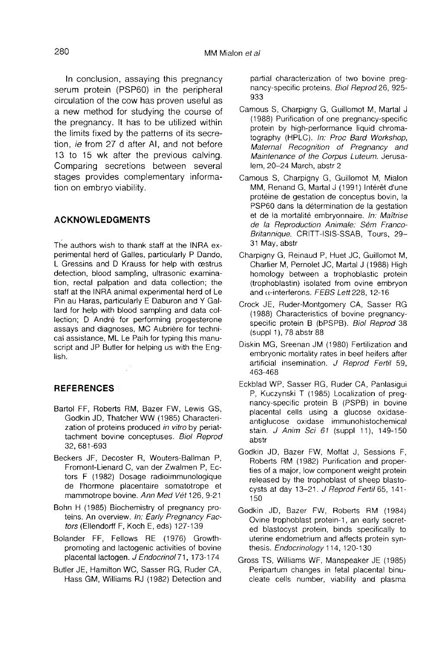In conclusion, assaying this pregnancy serum protein (PSP60) in the peripheral circulation of the cow has proven useful as a new method for studying the course of the pregnancy. It has to be utilized within the limits fixed by the patterns of its secretion, ie from 27 d after AI, and not before 13 to 15 wk after the previous calving. Comparing secretions between several stages provides complementary information on embryo viability.

# ACKNOWLEDGMENTS

The authors wish to thank staff at the INRA experimental herd of Galles, particularly P Dando, L Gressins and D Krauss for help with œstrus detection, blood sampling, ultrasonic examination, rectal palpation and data collection; the staff at the INRA animal experimental herd of Le Pin au Haras, particularly E Daburon and Y Gallard for help with blood sampling and data collection; D André for performing progesterone assays and diagnoses, MC Aubrière for technical assistance, ML Le Paih for typing this manuscript and JP Butler for helping us with the English.

# REFERENCES

- Bartol FF, Roberts RM, Bazer FW, Lewis GS, Godkin JD, Thatcher WW (1985) Characterization of proteins produced in vitro by periattachment bovine conceptuses. Biol Reprod 32, 681-693
- Beckers JF, Decoster R, Wouters-Ballman P, Fromont-Lienard C, van der Zwalmen P, Ectors F (1982) Dosage radioimmunologique de I'hormone placentaire somatotrope et mammotrope bovine. Ann Med Vét 126, 9-21
- Bohn H (1985) Biochemistry of pregnancy proteins. An overview. In: Early Pregnancy Factors (Eliendorff F, Koch E, eds) 127-139
- Bolander FF, Fellows RE (1976) Growthpromoting and lactogenic activities of bovine placental lactogen. J Endocrinol 71, 173-174
- Butler JE, Hamilton WC, Sasser RG, Ruder CA, Hass GM, Williams RJ (1982) Detection and

partial characterization of two bovine pregnancy-specific proteins. Biol Reprod 26, 925- 933

- Camous S, Charpigny G, Guillomot M, Martal J (1988) Purification of one pregnancy-specific protein by high-performance liquid chromatography (HPLC). In: Proc Bard Workshop, Maternal Recognition of Pregnancy and Maintenance of the Corpus Luteum. Jerusalem, 20-24 March, abstr 2
- Camous S, Charpigny G, Guillomot M, Mialon MM, Renand G, Martal J (1991) Intérêt d'une protéine de gestation de conceptus bovin, la PSP60 dans la determination de la gestation et de la mortalité embryonnaire. In: Maîtrise de la Reproduction Animale: Sém Franco-Britannique. CRITT-ISIS-SSAB, Tours, 29- 31 May, abstr
- Charpigny G, Reinaud P, Huet JC, Guillomot M, Charlier M, Pernolet JC, Martal J (1988) High homology between a trophoblastic protein (trophoblastin) isolated from ovine embryon and  $\alpha$ -interferons. FEBS Lett 228, 12-16
- Crock JE, Ruder-Montgomery CA, Sasser RG (1988) Characteristics of bovine pregnancyspecific protein B (bPSPB). Biol Reprod 38 (suppl 1), 78 abstr 88
- Diskin MG, Sreenan JM (1980) Fertilization and embryonic mortality rates in beef heifers after artificial insemination. J Reprod Fertil 59, 463-468
- Eckblad WP, Sasser RG, Ruder CA, Panlasigui P, Kuczynski T (1985) Localization of pregnancy-specific protein B (PSPB) in bovine placental cells using a glucose oxidaseantiglucose oxidase immunohistochemical stain. J Anim Sci 61 (suppl 11), 149-150 abstr
- Godkin JD, Bazer FW, Moffat J, Sessions F, Roberts RM (1982) Purification and properties of a major, low component weight protein released by the trophoblast of sheep blastocysts at day 13-21. J Reprod Fertil 65, 141-150
- Godkin JD, Bazer FW, Roberts RM (1984) Ovine trophoblast protein-1, an early secreted blastocyst protein, binds specifically to uterine endometrium and affects protein synthesis. Endocrinology 114, 120-130
- Gross TS, Williams WF, Manspeaker JE (1985) Peripartum changes in fetal placental binucleate cells number, viability and plasma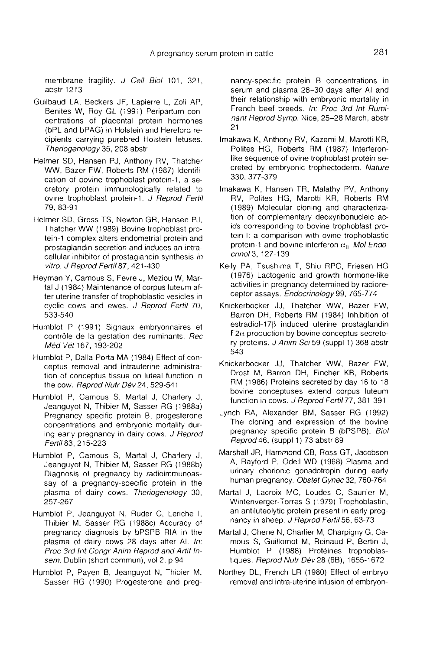membrane fragility. J Cell Biol 101, 321, abstr 1213

- Guilbaud LA, Beckers JF, Lapierre L, Zoli AP, Benites W, Roy GL (1991) Peripartum concentrations of placental protein hormones (bPL and bPAG) in Holstein and Hereford recipients carrying purebred Holstein fetuses. Theriogenology 35, 208 abstr
- Helmer SD, Hansen PJ, Anthony RV, Thatcher WW, Bazer FW, Roberts RM (1987) Identification of bovine trophoblast protein-1, a secretory protein immunologically related to ovine trophoblast protein-1. J Reprod Fertil 79, 83-91
- Helmer SD, Gross TS, Newton GR, Hansen PJ, Thatcher WW (1989) Bovine trophoblast protein-1 complex alters endometrial protein and prostaglandin secretion and induces an intracellular inhibitor of prostaglandin synthesis in vitro. J Reprod Fertil 87, 421-430
- Heyman Y, Camous S, Fevre J, Meziou W, Martal J (1984) Maintenance of corpus luteum after uterine transfer of trophoblastic vesicles in cyclic cows and ewes. J Reprod Fertil 70, 533-540 prostagiandin secretio<br>cellular inhibitor of province Cellular inhibitor of province Virto. J Reprod Fertil 8<br>(man Y, Camous S, F.<br>ter uterine transfer of the S33-540<br>mblot P (1991) Sign<br>contrôle de la gestatition Méd Vét
- Humblot P (1991) Signaux embryonnaires et contrôle de la gestation des ruminants. Rec Méd Vét 167, 193-202
- Humblot P, Dalla Porta MA (1984) Effect of conceptus removal and intrauterine administration of conceptus tissue on luteal function in the cow. Reprod Nutr Dév 24, 529-541
- Humblot P, Camous S, Martal J, Charlery J, Jeanguyot N, Thibier M, Sasser RG (1988a) Pregnancy specific protein B, progesterone concentrations and embryonic mortality during early pregnancy in dairy cows. J Reprod Fertil83, 215-223
- Humblot P, Camous S, Martal J, Charlery J, Jeanguyot N, Thibier M, Sasser RG (1988b) Diagnosis of pregnancy by radioimmunoassay of a pregnancy-specific protein in the plasma of dairy cows. Theriogenology 30, 257-267
- Humblot P, Jeanguyot N, Ruder C, Leriche I, Thibier M, Sasser RG (1988c) Accuracy of pregnancy diagnosis by bPSPB RIA in the plasma of dairy cows 28 days after AI. In: Proc 3rd Int Congr Anim Reprod and Artit Insem. Dublin (short commun), vol 2, p 94
- Humblot P, Payen B, Jeanguyot N, Thibier M, Sasser RG (1990) Progesterone and preg-

nancy-specific protein B concentrations in serum and plasma 28-30 days after Al and their relationship with embryonic mortality in French beef breeds. In: Proc 3rd Int Ruminant Reprod Symp. Nice, 25-28 March, abstr 21

- lmakawa K, Anthony RV, Kazemi M, Marotti KR, Polites HG, Roberts RM (1987) Interferonlike sequence of ovine trophoblast protein secreted by embryonic trophectoderm. Nature 330,377-379
- Imakawa K, Hansen TR, Malathy PV, Anthony RV, Polites HG, Marotti KR, Roberts RM (1989) Molecular cloning and characterization of complementary deoxyribonucleic acids corresponding to bovine trophoblast protein-I: a comparison with ovine trophoblastic protein-1 and bovine interferon  $\alpha_{\rm u}$  Mol Endocrinol3, 127-139
- Kelly PA, Tsushima T, Shiu RPC, Friesen HG (1976) Lactogenic and growth hormone-like activities in pregnancy determined by radioreceptor assays. Endocrinology 99, 765-774
- Knickerbocker JJ, Thatcher WW, Bazer FW, Barron DH, Roberts RM (1984) Inhibition of estradiol-178 induced uterine prostaglandin  $F2\alpha$  production by bovine conceptus secretory proteins. J Anim Sci 59 (suppl 1) 368 abstr 543
- Knickerbocker JJ, Thatcher WW, Bazer FW, Drost M, Barron DH, Fincher KB, Roberts RM (1986) Proteins secreted by day 16 to 18 bovine conceptuses extend corpus luteum function in cows. J Reprod Fertil 77, 381-391
- Lynch RA, Alexander BM, Sasser RG (1992) The cloning and expression of the bovine pregnancy specific protein B (bPSPB). Biol Reprod 46, (suppl 1) 73 abstr 89
- Marshall JR, Hammond CB, Ross GT, Jacobson A, Rayford P, Odell WD (1968) Plasma and urinary chorionic gonadotropin during early human pregnancy. Obstet Gynec 32, 760-764
- Martal J, Lacroix MC, Loudes C, Saunier M, Wintenverger-Torres S (1979) Trophoblastin, an antiluteolytic protein present in early pregnancy in sheep. J Reprod Fertil 56, 63-73
- Martal J, Chene N, Charlier M, Charpigny G, Camous S, Guillomot M, Reinaud P, Bertin J, Humblot P (1988) Protéines trophoblastiques. Reprod Nutr Dév 28 (6B), 1655-1672
- Northey DL, French LR (1980) Effect of embryo removal and intra-uterine infusion of embryon-